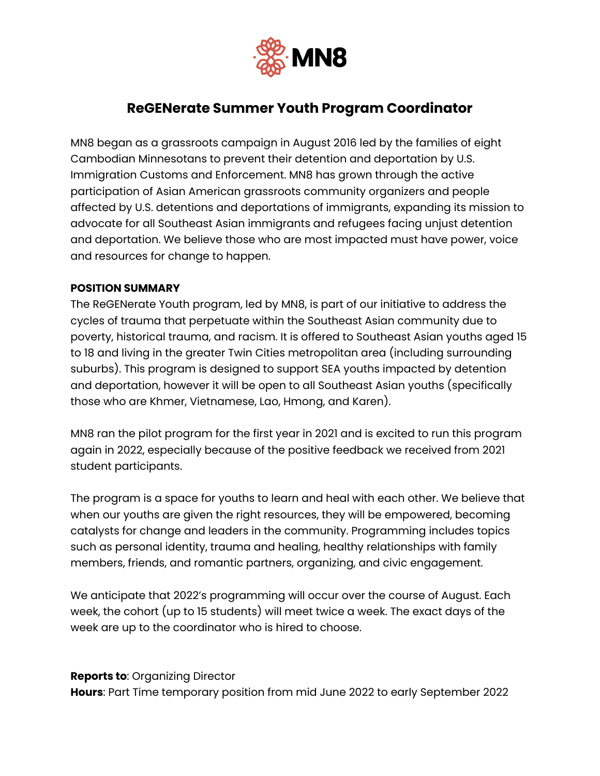

# **ReGENerate Summer Youth Program Coordinator**

MN8 began as a grassroots campaign in August 2016 led by the families of eight Cambodian Minnesotans to prevent their detention and deportation by U.S. Immigration Customs and Enforcement. MN8 has grown through the active participation of Asian American grassroots community organizers and people affected by U.S. detentions and deportations of immigrants, expanding its mission to advocate for all Southeast Asian immigrants and refugees facing unjust detention and deportation. We believe those who are most impacted must have power, voice and resources for change to happen.

#### **POSITION SUMMARY**

The ReGENerate Youth program, led by MN8, is part of our initiative to address the cycles of trauma that perpetuate within the Southeast Asian community due to poverty, historical trauma, and racism. It is offered to Southeast Asian youths aged 15 to 18 and living in the greater Twin Cities metropolitan area (including surrounding suburbs). This program is designed to support SEA youths impacted by detention and deportation, however it will be open to all Southeast Asian youths (specifically those who are Khmer, Vietnamese, Lao, Hmong, and Karen).

MN8 ran the pilot program for the first year in 2021 and is excited to run this program again in 2022, especially because of the positive feedback we received from 2021 student participants.

The program is a space for youths to learn and heal with each other. We believe that when our youths are given the right resources, they will be empowered, becoming catalysts for change and leaders in the community. Programming includes topics such as personal identity, trauma and healing, healthy relationships with family members, friends, and romantic partners, organizing, and civic engagement.

We anticipate that 2022's programming will occur over the course of August. Each week, the cohort (up to 15 students) will meet twice a week. The exact days of the week are up to the coordinator who is hired to choose.

#### **Reports to**: Organizing Director

**Hours**: Part Time temporary position from mid June 2022 to early September 2022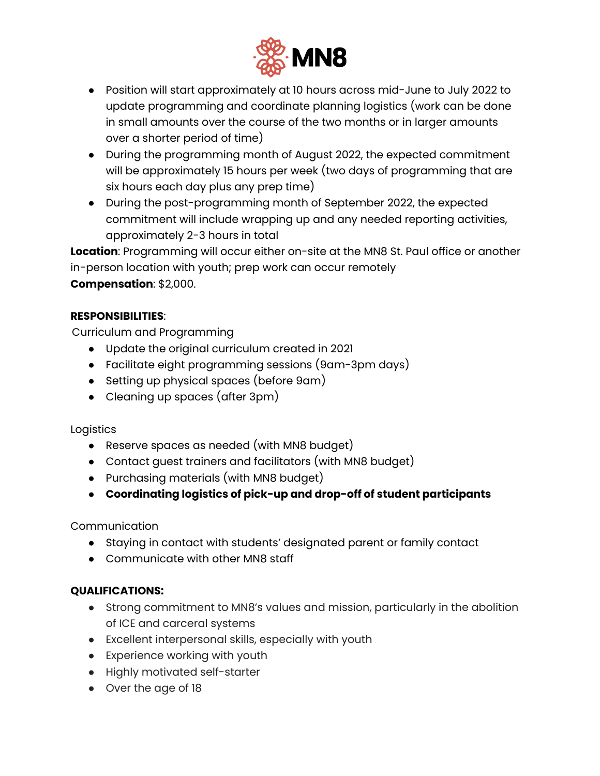

- Position will start approximately at 10 hours across mid-June to July 2022 to update programming and coordinate planning logistics (work can be done in small amounts over the course of the two months or in larger amounts over a shorter period of time)
- During the programming month of August 2022, the expected commitment will be approximately 15 hours per week (two days of programming that are six hours each day plus any prep time)
- During the post-programming month of September 2022, the expected commitment will include wrapping up and any needed reporting activities, approximately 2-3 hours in total

**Location**: Programming will occur either on-site at the MN8 St. Paul office or another in-person location with youth; prep work can occur remotely

**Compensation**: \$2,000.

### **RESPONSIBILITIES**:

Curriculum and Programming

- Update the original curriculum created in 2021
- Facilitate eight programming sessions (9am-3pm days)
- Setting up physical spaces (before 9am)
- Cleaning up spaces (after 3pm)

#### Logistics

- Reserve spaces as needed (with MN8 budget)
- Contact guest trainers and facilitators (with MN8 budget)
- Purchasing materials (with MN8 budget)
- **● Coordinating logistics of pick-up and drop-off of student participants**

Communication

- Staying in contact with students' designated parent or family contact
- Communicate with other MN8 staff

### **QUALIFICATIONS:**

- Strong commitment to MN8's values and mission, particularly in the abolition of ICE and carceral systems
- Excellent interpersonal skills, especially with youth
- Experience working with youth
- Highly motivated self-starter
- Over the age of 18